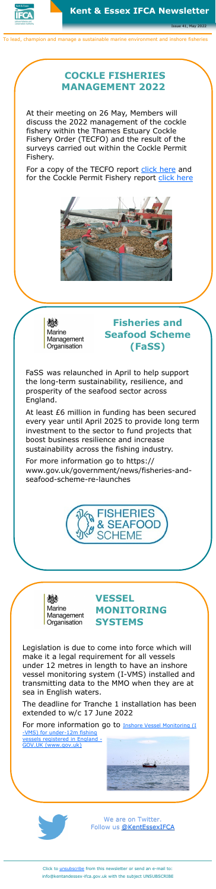

Issue 41, May 2022

To lead, champion and manage a sustainable marine environment and inshore fisheries

We are on Twitter. Follow us [@KentEssexIFCA](https://twitter.com/KentEssexIFCA)

Click to [unsubscribe](mailto:info@kentandessex-ifca.gov.uk?subject=UNSUBSCRIBE) from this newsletter or send an e-mail to: info@kentandessex-ifca.gov.uk with the subject UNSUBSCRIBE

## **VESSEL MONITORING SYSTEMS**

For more information go to **Inshore Vessel Monitoring** (I -[VMS\) for under](https://www.gov.uk/guidance/inshore-vessel-monitoring-i-vms-for-under-12m-fishing-vessels-registered-in-england)-12m fishing [vessels registered in England](https://www.gov.uk/guidance/inshore-vessel-monitoring-i-vms-for-under-12m-fishing-vessels-registered-in-england) - [GOV.UK \(www.gov.uk\)](https://www.gov.uk/guidance/inshore-vessel-monitoring-i-vms-for-under-12m-fishing-vessels-registered-in-england)





Legislation is due to come into force which will make it a legal requirement for all vessels under 12 metres in length to have an inshore vessel monitoring system (I-VMS) installed and transmitting data to the MMO when they are at sea in English waters.

The deadline for Tranche 1 installation has been extended to w/c 17 June 2022

# **COCKLE FISHERIES MANAGEMENT 2022**

At their meeting on 26 May, Members will discuss the 2022 management of the cockle fishery within the Thames Estuary Cockle Fishery Order (TECFO) and the result of the surveys carried out within the Cockle Permit Fishery.

For a copy of the TECFO report [click here](https://www.kentandessex-ifca.gov.uk/website-content/agenda-item-b3-tecfo-cockle-management-1652948491.pdf) and for the Cockle Permit Fishery report [click here](https://www.kentandessex-ifca.gov.uk/website-content/agenda-item-b4-permitted-cockle-fishery-surveys-1652948530.pdf)





# **Fisheries and Seafood Scheme (FaSS)**

FaSS was relaunched in April to help support the long-term sustainability, resilience, and prosperity of the seafood sector across England.

At least £6 million in funding has been secured every year until April 2025 to provide long term investment to the sector to fund projects that boost business resilience and increase sustainability across the fishing industry.

For more information go to https://

www.gov.uk/government/news/fisheries-andseafood-scheme-re-launches



Marine Management Organisation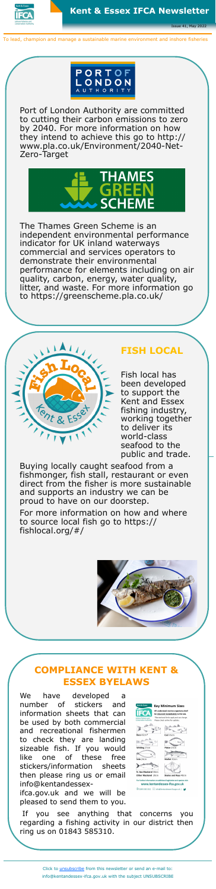

Issue 41, May 2022

To lead, champion and manage a sustainable marine environment and inshore fisheries



Port of London Authority are committed to cutting their carbon emissions to zero by 2040. For more information on how they intend to achieve this go to http:// www.pla.co.uk/Environment/2040-Net-Zero-Target



The Thames Green Scheme is an independent environmental performance indicator for UK inland waterways commercial and services operators to demonstrate their environmental performance for elements including on air quality, carbon, energy, water quality, litter, and waste. For more information go to https://greenscheme.pla.co.uk/



# **COMPLIANCE WITH KENT & ESSEX BYELAWS**

We have developed a number of stickers and information sheets that can be used by both commercial and recreational fishermen to check they are landing sizeable fish. If you would like one of these free stickers/information sheets then please ring us or email info@kentandessex-

ifca.gov.uk and we will be pleased to send them to you.



If you see anything that concerns you regarding a fishing activity in our district then ring us on 01843 585310.

#### **FISH LOCAL**

Fish local has been developed to support the Kent and Essex fishing industry, working together to deliver its world-class seafood to the public and trade.

Buying locally caught seafood from a fishmonger, fish stall, restaurant or even direct from the fisher is more sustainable and supports an industry we can be proud to have on our doorstep.

For more information on how and where to source local fish go to https:// fishlocal.org/#/